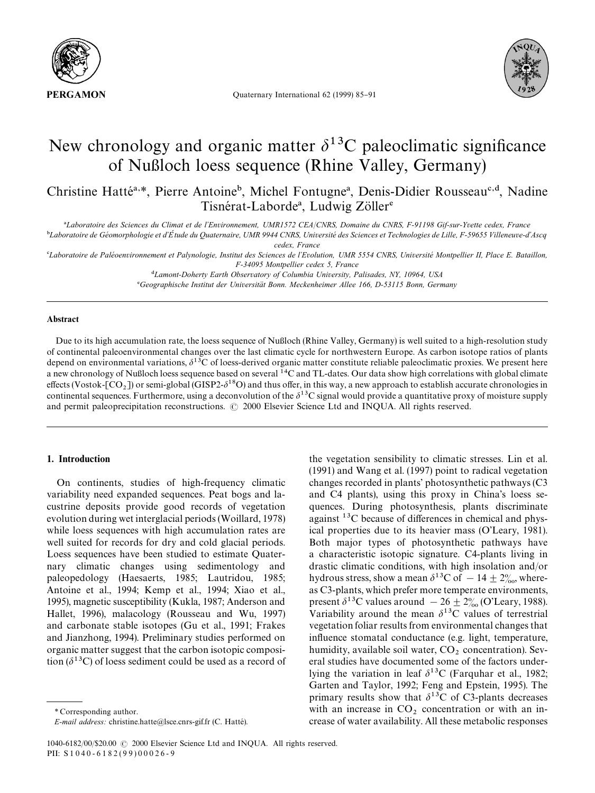

Quaternary International 62 (1999) 85-91



# New chronology and organic matter  $\delta^{13}$ C paleoclimatic significance of Nußloch loess sequence (Rhine Valley, Germany)

Christine Hatté<sup>a,\*</sup>, Pierre Antoine<sup>b</sup>, Michel Fontugne<sup>a</sup>, Denis-Didier Rousseau<sup>c,d</sup>, Nadine Tisnérat-Laborde<sup>a</sup>, Ludwig Zöller<sup>e</sup>

*Laboratoire des Sciences du Climat et de l*+*Environnement, UMR1572 CEA*/*CNRS, Domaine du CNRS, F-91198 Gif-sur-Yvette cedex, France*

-*Laboratoire de Ge*& *omorphologie et d*+*E*! *tude du Quaternaire, UMR 9944 CNRS, Universite*& *des Sciences et Technologies de Lille, F-59655 Villeneuve-d*+*Ascq cedex, France*

*Laboratoire de Pale*& *oenvironnement et Palynologie, Institut des Sciences de l*+*Evolution, UMR 5554 CNRS, Universite*& *Montpellier II, Place E. Bataillon, F-34095 Montpellier cedex 5, France*

*Lamont-Doherty Earth Observatory of Columbia University, Palisades, NY, 10964, USA*

*Geographische Institut der Universita*( *t Bonn. Meckenheimer Allee 166, D-53115 Bonn, Germany*

### Abstract

Due to its high accumulation rate, the loess sequence of Nußloch (Rhine Valley, Germany) is well suited to a high-resolution study of continental paleoenvironmental changes over the last climatic cycle for northwestern Europe. As carbon isotope ratios of plants depend on environmental variations,  $\delta^{13}C$  of loess-derived organic matter constitute reliable paleoclimatic proxies. We present here a new chronology of Nußloch loess sequence based on several  $14$ C and TL-dates. Our data show high correlations with global climate effects (Vostok- $[CO_2]$ ) or semi-global (GISP2- $\delta^{18}O$ ) and thus offer, in this way, a new approach to establish accurate chronologies in continental sequences. Furthermore, using a deconvolution of the  $\delta^{13}C$  signal would provide a quantitative proxy of moisture supply and permit paleoprecipitation reconstructions.  $\odot$  2000 Elsevier Science Ltd and INQUA. All rights reserved.

# 1. Introduction

On continents, studies of high-frequency climatic variability need expanded sequences. Peat bogs and lacustrine deposits provide good records of vegetation evolution during wet interglacial periods (Woillard, 1978) while loess sequences with high accumulation rates are well suited for records for dry and cold glacial periods. Loess sequences have been studied to estimate Quaternary climatic changes using sedimentology and paleopedology (Haesaerts, 1985; Lautridou, 1985; Antoine et al., 1994; Kemp et al., 1994; Xiao et al., 1995), magnetic susceptibility (Kukla, 1987; Anderson and Hallet, 1996), malacology (Rousseau and Wu, 1997) and carbonate stable isotopes (Gu et al., 1991; Frakes and Jianzhong, 1994). Preliminary studies performed on organic matter suggest that the carbon isotopic composition ( $\delta^{13}$ C) of loess sediment could be used as a record of

the vegetation sensibility to climatic stresses. Lin et al. (1991) and Wang et al. (1997) point to radical vegetation changes recorded in plants' photosynthetic pathways (C3 and C4 plants), using this proxy in China's loess sequences. During photosynthesis, plants discriminate against  $^{13}$ C because of differences in chemical and physical properties due to its heavier mass (O'Leary, 1981). Both major types of photosynthetic pathways have a characteristic isotopic signature. C4-plants living in drastic climatic conditions, with high insolation and/or hydrous stress, show a mean  $\delta^{13}C$  of  $-14 \pm 2\%$ , whereas C3-plants, which prefer more temperate environments, present  $\delta^{13}$ C values around  $-26 \pm 2\%$  (O'Leary, 1988). Variability around the mean  $\delta^{13}$ C values of terrestrial vegetation foliar results from environmental changes that influence stomatal conductance (e.g. light, temperature, humidity, available soil water,  $CO<sub>2</sub>$  concentration). Several studies have documented some of the factors underlying the variation in leaf  $\delta^{13}$ C (Farquhar et al., 1982; Garten and Taylor, 1992; Feng and Epstein, 1995). The primary results show that  $\delta^{13}$ C of C3-plants decreases with an increase in  $CO<sub>2</sub>$  concentration or with an increase of water availability. All these metabolic responses

*<sup>\*</sup>* Corresponding author.

*E-mail address:* christine.hatte@lsce.cnrs-gif.fr (C. Hatté).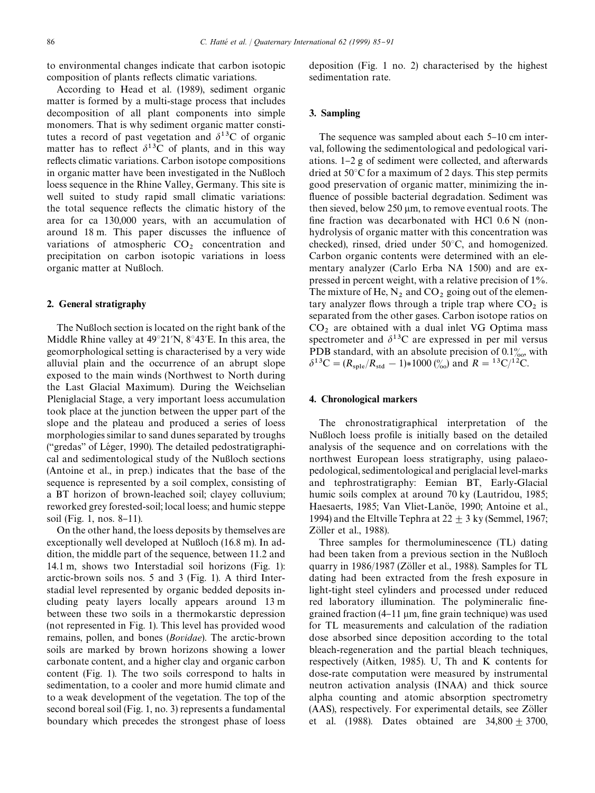to environmental changes indicate that carbon isotopic composition of plants reflects climatic variations.

According to Head et al. (1989), sediment organic matter is formed by a multi-stage process that includes decomposition of all plant components into simple monomers. That is why sediment organic matter constitutes a record of past vegetation and  $\delta^{13}$ C of organic matter has to reflect  $\delta^{13}$ C of plants, and in this way reflects climatic variations. Carbon isotope compositions in organic matter have been investigated in the Nußloch loess sequence in the Rhine Valley, Germany. This site is well suited to study rapid small climatic variations: the total sequence reflects the climatic history of the area for ca 130,000 years, with an accumulation of around 18 m. This paper discusses the influence of variations of atmospheric  $CO<sub>2</sub>$  concentration and precipitation on carbon isotopic variations in loess organic matter at Nußloch.

# 2. General stratigraphy

The Nußloch section is located on the right bank of the Middle Rhine valley at  $49^{\circ}21'N$ ,  $8^{\circ}43'E$ . In this area, the geomorphological setting is characterised by a very wide alluvial plain and the occurrence of an abrupt slope exposed to the main winds (Northwest to North during the Last Glacial Maximum). During the Weichselian Pleniglacial Stage, a very important loess accumulation took place at the junction between the upper part of the slope and the plateau and produced a series of loess morphologies similar to sand dunes separated by troughs ("gredas" of Léger, 1990). The detailed pedostratigraphical and sedimentological study of the Nußloch sections (Antoine et al., in prep.) indicates that the base of the sequence is represented by a soil complex, consisting of a BT horizon of brown-leached soil; clayey colluvium; reworked grey forested-soil; local loess; and humic steppe soil (Fig. 1, nos.  $8-11$ ).

On the other hand, the loess deposits by themselves are exceptionally well developed at Nußloch (16.8 m). In addition, the middle part of the sequence, between 11.2 and 14.1 m, shows two Interstadial soil horizons (Fig. 1): arctic-brown soils nos. 5 and 3 (Fig. 1). A third Interstadial level represented by organic bedded deposits including peaty layers locally appears around 13 m between these two soils in a thermokarstic depression (not represented in Fig. 1). This level has provided wood remains, pollen, and bones (*Bovidae*). The arctic-brown soils are marked by brown horizons showing a lower carbonate content, and a higher clay and organic carbon content (Fig. 1). The two soils correspond to halts in sedimentation, to a cooler and more humid climate and to a weak development of the vegetation. The top of the second boreal soil (Fig. 1, no. 3) represents a fundamental boundary which precedes the strongest phase of loess deposition (Fig. 1 no. 2) characterised by the highest sedimentation rate.

## 3. Sampling

The sequence was sampled about each  $5-10$  cm interval, following the sedimentological and pedological variations. 1–2 g of sediment were collected, and afterwards dried at  $50^{\circ}$ C for a maximum of 2 days. This step permits good preservation of organic matter, minimizing the in fluence of possible bacterial degradation. Sediment was then sieved, below  $250 \mu m$ , to remove eventual roots. The fine fraction was decarbonated with HCl  $0.6 N$  (nonhydrolysis of organic matter with this concentration was checked), rinsed, dried under  $50^{\circ}$ C, and homogenized. Carbon organic contents were determined with an elementary analyzer (Carlo Erba NA 1500) and are expressed in percent weight, with a relative precision of 1%. The mixture of He,  $N_2$  and  $CO_2$  going out of the elementary analyzer flows through a triple trap where  $CO<sub>2</sub>$  is separated from the other gases. Carbon isotope ratios on  $CO<sub>2</sub>$  are obtained with a dual inlet VG Optima mass spectrometer and  $\delta^{13}$ C are expressed in per mil versus PDB standard, with an absolute precision of  $0.1\%$ , with  $\delta^{13}C = (R_{\text{sple}}/R_{\text{std}} - 1) * 1000 \binom{0}{0}$  and  $R = {}^{13}C/{}^{12}C$ .

# 4. Chronological markers

The chronostratigraphical interpretation of the Nußloch loess profile is initially based on the detailed analysis of the sequence and on correlations with the northwest European loess stratigraphy, using palaeopedological, sedimentological and periglacial level-marks and tephrostratigraphy: Eemian BT, Early-Glacial humic soils complex at around 70 ky (Lautridou, 1985; Haesaerts, 1985; Van Vliet-Lanöe, 1990; Antoine et al., 1994) and the Eltville Tephra at  $22 + 3$  ky (Semmel, 1967; Zöller et al.,  $1988$ ).

Three samples for thermoluminescence (TL) dating had been taken from a previous section in the Nußloch quarry in 1986/1987 (Zöller et al., 1988). Samples for TL dating had been extracted from the fresh exposure in light-tight steel cylinders and processed under reduced red laboratory illumination. The polymineralic finegrained fraction  $(4-11 \mu m)$ , fine grain technique) was used for TL measurements and calculation of the radiation dose absorbed since deposition according to the total bleach-regeneration and the partial bleach techniques, respectively (Aitken, 1985). U, Th and K contents for dose-rate computation were measured by instrumental neutron activation analysis (INAA) and thick source alpha counting and atomic absorption spectrometry (AAS), respectively. For experimental details, see Zöller et al. (1988). Dates obtained are  $34,800 \pm 3700$ ,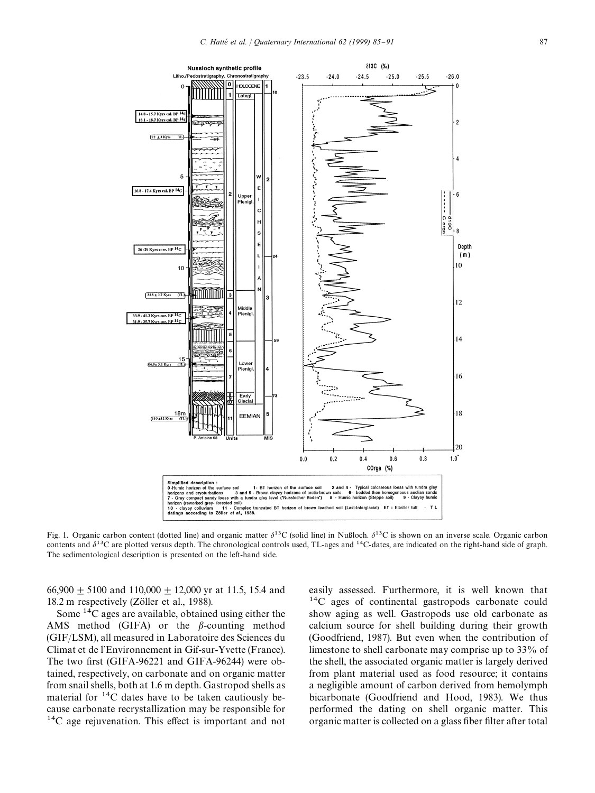

Fig. 1. Organic carbon content (dotted line) and organic matter  $\delta^{13}C$  (solid line) in Nußloch.  $\delta^{13}C$  is shown on an inverse scale. Organic carbon contents and  $\delta^{13}$ C are plotted versus depth. The chronological controls used, TL-ages and <sup>14</sup>C-dates, are indicated on the right-hand side of graph. The sedimentological description is presented on the left-hand side.

66,900  $\pm$  5100 and 110,000  $\pm$  12,000 yr at 11.5, 15.4 and 18.2 m respectively (Zöller et al., 1988).

Some  $^{14}$ C ages are available, obtained using either the AMS method (GIFA) or the  $\beta$ -counting method (GIF/LSM), all measured in Laboratoire des Sciences du Climat et de l'Environnement in Gif-sur-Yvette (France). The two first (GIFA-96221 and GIFA-96244) were obtained, respectively, on carbonate and on organic matter from snail shells, both at 1.6 m depth. Gastropod shells as material for  $^{14}$ C dates have to be taken cautiously because carbonate recrystallization may be responsible for  $^{14}$ C age rejuvenation. This effect is important and not easily assessed. Furthermore, it is well known that  $^{14}$ C ages of continental gastropods carbonate could show aging as well. Gastropods use old carbonate as calcium source for shell building during their growth (Goodfriend, 1987). But even when the contribution of limestone to shell carbonate may comprise up to 33% of the shell, the associated organic matter is largely derived from plant material used as food resource; it contains a negligible amount of carbon derived from hemolymph bicarbonate (Goodfriend and Hood, 1983). We thus performed the dating on shell organic matter. This organic matter is collected on a glass fiber filter after total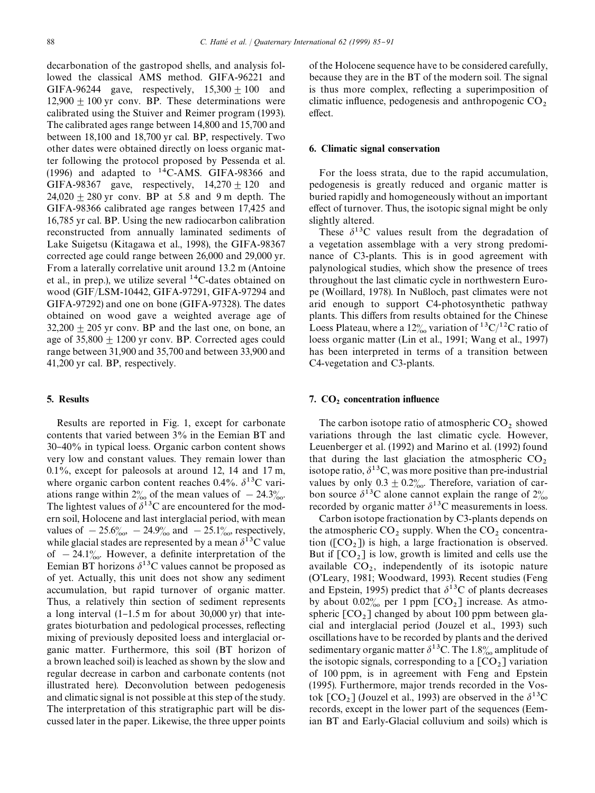decarbonation of the gastropod shells, and analysis followed the classical AMS method. GIFA-96221 and GIFA-96244 gave, respectively,  $15,300 \pm 100$  and  $12,900 \pm 100$  yr conv. BP. These determinations were calibrated using the Stuiver and Reimer program (1993). The calibrated ages range between 14,800 and 15,700 and between 18,100 and 18,700 yr cal. BP, respectively. Two other dates were obtained directly on loess organic matter following the protocol proposed by Pessenda et al. (1996) and adapted to  $^{14}$ C-AMS. GIFA-98366 and GIFA-98367 gave, respectively,  $14,270 + 120$  and  $24,020 + 280$  yr conv. BP at 5.8 and 9 m depth. The GIFA-98366 calibrated age ranges between 17,425 and 16,785 yr cal. BP. Using the new radiocarbon calibration reconstructed from annually laminated sediments of Lake Suigetsu (Kitagawa et al., 1998), the GIFA-98367 corrected age could range between 26,000 and 29,000 yr. From a laterally correlative unit around 13.2 m (Antoine et al., in prep.), we utilize several  $^{14}$ C-dates obtained on wood (GIF/LSM-10442, GIFA-97291, GIFA-97294 and GIFA-97292) and one on bone (GIFA-97328). The dates obtained on wood gave a weighted average age of  $32,200 \pm 205$  yr conv. BP and the last one, on bone, an age of  $35,800 \pm 1200$  yr conv. BP. Corrected ages could range between 31,900 and 35,700 and between 33,900 and 41,200 yr cal. BP, respectively.

# 5. Results

Results are reported in Fig. 1, except for carbonate contents that varied between 3% in the Eemian BT and 30}40% in typical loess. Organic carbon content shows very low and constant values. They remain lower than 0.1%, except for paleosols at around 12, 14 and 17 m, where organic carbon content reaches 0.4%.  $\delta^{13}$ C variations range within  $2\%$  of the mean values of  $-24.3\%$ . The lightest values of  $\delta^{13}$ C are encountered for the modern soil, Holocene and last interglacial period, with mean values of  $-25.6\%_{00}$ ,  $-24.9\%$  and  $-25.1\%$ , respectively, while glacial stades are represented by a mean  $\delta^{13}C$  value of  $-24.1\%$ . However, a definite interpretation of the Eemian BT horizons  $\delta^{13}$ C values cannot be proposed as of yet. Actually, this unit does not show any sediment accumulation, but rapid turnover of organic matter. Thus, a relatively thin section of sediment represents a long interval  $(1-1.5 \text{ m}$  for about 30,000 yr) that integrates bioturbation and pedological processes, reflecting mixing of previously deposited loess and interglacial organic matter. Furthermore, this soil (BT horizon of a brown leached soil) is leached as shown by the slow and regular decrease in carbon and carbonate contents (not illustrated here). Deconvolution between pedogenesis and climatic signal is not possible at this step of the study. The interpretation of this stratigraphic part will be discussed later in the paper. Likewise, the three upper points of the Holocene sequence have to be considered carefully, because they are in the BT of the modern soil. The signal is thus more complex, reflecting a superimposition of climatic influence, pedogenesis and anthropogenic  $CO<sub>2</sub>$ <br>effect.

#### 6. Climatic signal conservation

For the loess strata, due to the rapid accumulation, pedogenesis is greatly reduced and organic matter is buried rapidly and homogeneously without an important effect of turnover. Thus, the isotopic signal might be only slightly altered.

These  $\delta^{13}$ C values result from the degradation of a vegetation assemblage with a very strong predominance of C3-plants. This is in good agreement with palynological studies, which show the presence of trees throughout the last climatic cycle in northwestern Europe (Woillard, 1978). In Nußloch, past climates were not arid enough to support C4-photosynthetic pathway plants. This differs from results obtained for the Chinese Loess Plateau, where a 12<sup>o</sup><sub>00</sub> variation of <sup>13</sup>C/<sup>12</sup>C ratio of loess organic matter (Lin et al., 1991; Wang et al., 1997) has been interpreted in terms of a transition between C4-vegetation and C3-plants.

# 7.  $CO<sub>2</sub> concentration influence$

The carbon isotope ratio of atmospheric  $CO<sub>2</sub>$  showed variations through the last climatic cycle. However, Leuenberger et al. (1992) and Marino et al. (1992) found that during the last glaciation the atmospheric  $CO_2$  isotope ratio,  $\delta^{13}C$ , was more positive than pre-industrial values by only  $0.3 \pm 0.2$ %. Therefore, variation of carbon source  $\delta^{13}$ C alone cannot explain the range of  $2\%$ recorded by organic matter  $\delta^{13}$ C measurements in loess.

Carbon isotope fractionation by C3-plants depends on the atmospheric  $CO_2$  supply. When the  $CO_2$  concentration ( $[CO<sub>2</sub>]$ ) is high, a large fractionation is observed. But if  $[CO<sub>2</sub>]$  is low, growth is limited and cells use the available  $CO_2$ , independently of its isotopic nature (O'Leary, 1981; Woodward, 1993). Recent studies (Feng and Epstein, 1995) predict that  $\delta^{13}$ C of plants decreases by about  $0.02\%$  per 1 ppm  $[CO<sub>2</sub>]$  increase. As atmospheric  $[CO_2]$  changed by about 100 ppm between glacial and interglacial period (Jouzel et al., 1993) such oscillations have to be recorded by plants and the derived sedimentary organic matter  $\delta^{13}$ C. The 1.8‰ amplitude of the isotopic signals, corresponding to a  $[CO<sub>2</sub>]$  variation of 100 ppm, is in agreement with Feng and Epstein (1995). Furthermore, major trends recorded in the Vostok  $[CO_2]$  (Jouzel et al., 1993) are observed in the  $\delta^{13}$ C records, except in the lower part of the sequences (Eemian BT and Early-Glacial colluvium and soils) which is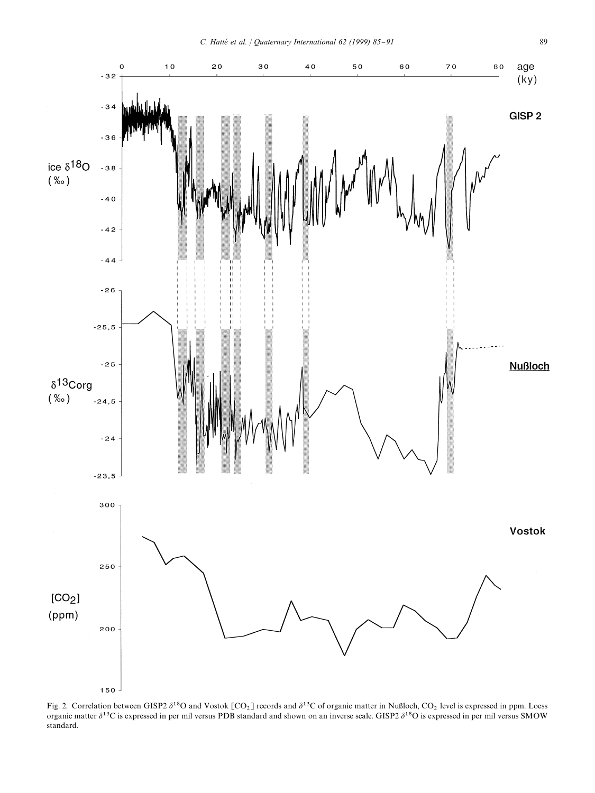

Fig. 2. Correlation between GISP2  $\delta^{18}O$  and Vostok [CO<sub>2</sub>] records and  $\delta^{13}C$  of organic matter in Nußloch, CO<sub>2</sub> level is expressed in ppm. Loess<br>organic matter  $\delta^{13}C$  is expressed in per mil versus PDB standar standard.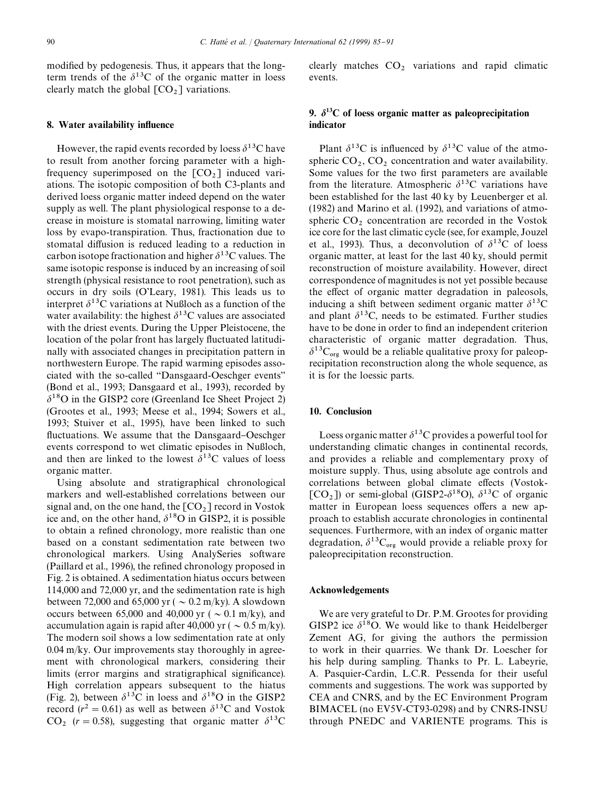modified by pedogenesis. Thus, it appears that the longterm trends of the  $\delta^{13}$ C of the organic matter in loess clearly match the global  $[CO<sub>2</sub>]$  variations.

# 8. Water availability influence

However, the rapid events recorded by loess  $\delta^{13}$ C have to result from another forcing parameter with a highfrequency superimposed on the  $[CO<sub>2</sub>]$  induced variations. The isotopic composition of both C3-plants and derived loess organic matter indeed depend on the water supply as well. The plant physiological response to a decrease in moisture is stomatal narrowing, limiting water loss by evapo-transpiration. Thus, fractionation due to stomatal diffusion is reduced leading to a reduction in carbon isotope fractionation and higher  $\delta^{13}$ C values. The same isotopic response is induced by an increasing of soil strength (physical resistance to root penetration), such as occurs in dry soils (O'Leary, 1981). This leads us to interpret  $\delta^{13}$ C variations at Nußloch as a function of the water availability: the highest  $\delta^{13}$ C values are associated with the driest events. During the Upper Pleistocene, the location of the polar front has largely fluctuated latitudinally with associated changes in precipitation pattern in northwestern Europe. The rapid warming episodes associated with the so-called "Dansgaard-Oeschger events" (Bond et al., 1993; Dansgaard et al., 1993), recorded by  $\delta^{18}$ O in the GISP2 core (Greenland Ice Sheet Project 2) (Grootes et al., 1993; Meese et al., 1994; Sowers et al., 1993; Stuiver et al., 1995), have been linked to such fluctuations. We assume that the Dansgaard–Oeschger events correspond to wet climatic episodes in Nußloch, and then are linked to the lowest  $\delta^{13}$ C values of loess organic matter.

Using absolute and stratigraphical chronological markers and well-established correlations between our signal and, on the one hand, the  $[CO<sub>2</sub>]$  record in Vostok ice and, on the other hand,  $\delta^{18}$ O in GISP2, it is possible to obtain a refined chronology, more realistic than one based on a constant sedimentation rate between two chronological markers. Using AnalySeries software (Paillard et al., 1996), the refined chronology proposed in Fig. 2 is obtained. A sedimentation hiatus occurs between 114,000 and 72,000 yr, and the sedimentation rate is high between 72,000 and 65,000 yr ( $\sim 0.2$  m/ky). A slowdown occurs between 65,000 and 40,000 yr ( $\sim$  0.1 m/ky), and accumulation again is rapid after 40,000 yr ( $\sim 0.5$  m/ky). The modern soil shows a low sedimentation rate at only 0.04 m/ky. Our improvements stay thoroughly in agreement with chronological markers, considering their limits (error margins and stratigraphical significance). High correlation appears subsequent to the hiatus (Fig. 2), between  $\delta^{13}$ C in loess and  $\delta^{18}$ O in the GISP2 record ( $r^2 = 0.61$ ) as well as between  $\delta^{13}$ C and Vostok  $CO_2$  ( $r = 0.58$ ), suggesting that organic matter  $\delta^{13}$ C

clearly matches  $CO<sub>2</sub>$  variations and rapid climatic events.

# 9.  $\delta^{13}$ C of loess organic matter as paleoprecipitation indicator

Plant  $\delta^{13}$ C is influenced by  $\delta^{13}$ C value of the atmospheric  $CO_2$ ,  $CO_2$  concentration and water availability. Some values for the two first parameters are available from the literature. Atmospheric  $\delta^{13}$ C variations have been established for the last 40 ky by Leuenberger et al. (1982) and Marino et al. (1992), and variations of atmospheric  $CO<sub>2</sub>$  concentration are recorded in the Vostok ice core for the last climatic cycle (see, for example, Jouzel et al., 1993). Thus, a deconvolution of  $\delta^{13}C$  of loess organic matter, at least for the last 40 ky, should permit reconstruction of moisture availability. However, direct correspondence of magnitudes is not yet possible because the effect of organic matter degradation in paleosols, inducing a shift between sediment organic matter  $\delta^{13}$ C and plant  $\delta^{13}$ C, needs to be estimated. Further studies have to be done in order to find an independent criterion characteristic of organic matter degradation. Thus,  $\delta^{13}C_{org}$  would be a reliable qualitative proxy for paleoprecipitation reconstruction along the whole sequence, as it is for the loessic parts.

# 10. Conclusion

Loess organic matter  $\delta^{13}$ C provides a powerful tool for understanding climatic changes in continental records, and provides a reliable and complementary proxy of moisture supply. Thus, using absolute age controls and correlations between global climate effects (Vostok-[CO<sub>2</sub>]) or semi-global (GISP2- $\delta^{18}$ O),  $\delta^{13}$ C of organic matter in European loess sequences offers a new approach to establish accurate chronologies in continental sequences. Furthermore, with an index of organic matter degradation,  $\delta^{13}C_{org}$  would provide a reliable proxy for paleoprecipitation reconstruction.

# Acknowledgements

We are very grateful to Dr. P.M. Grootes for providing GISP2 ice  $\delta^{18}$ O. We would like to thank Heidelberger Zement AG, for giving the authors the permission to work in their quarries. We thank Dr. Loescher for his help during sampling. Thanks to Pr. L. Labeyrie, A. Pasquier-Cardin, L.C.R. Pessenda for their useful comments and suggestions. The work was supported by CEA and CNRS, and by the EC Environment Program BIMACEL (no EV5V-CT93-0298) and by CNRS-INSU through PNEDC and VARIENTE programs. This is